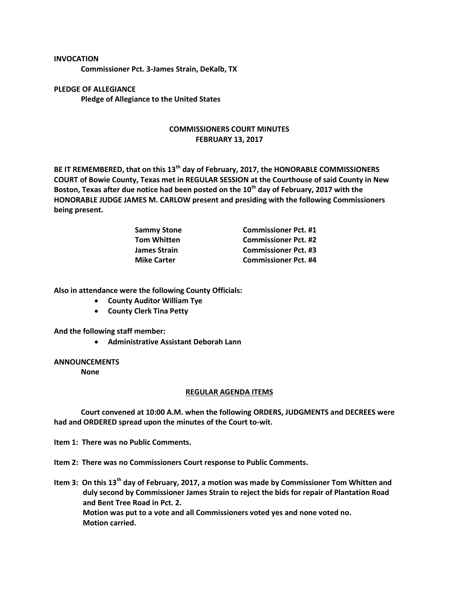## **INVOCATION**

**Commissioner Pct. 3-James Strain, DeKalb, TX**

**PLEDGE OF ALLEGIANCE Pledge of Allegiance to the United States**

## **COMMISSIONERS COURT MINUTES FEBRUARY 13, 2017**

**BE IT REMEMBERED, that on this 13th day of February, 2017, the HONORABLE COMMISSIONERS COURT of Bowie County, Texas met in REGULAR SESSION at the Courthouse of said County in New Boston, Texas after due notice had been posted on the 10th day of February, 2017 with the HONORABLE JUDGE JAMES M. CARLOW present and presiding with the following Commissioners being present.**

| <b>Sammy Stone</b>  | <b>Commissioner Pct. #1</b> |
|---------------------|-----------------------------|
| <b>Tom Whitten</b>  | <b>Commissioner Pct. #2</b> |
| <b>James Strain</b> | <b>Commissioner Pct. #3</b> |
| <b>Mike Carter</b>  | <b>Commissioner Pct. #4</b> |

**Also in attendance were the following County Officials:**

- **County Auditor William Tye**
- **County Clerk Tina Petty**

**And the following staff member:**

**Administrative Assistant Deborah Lann**

## **ANNOUNCEMENTS**

**None**

## **REGULAR AGENDA ITEMS**

**Court convened at 10:00 A.M. when the following ORDERS, JUDGMENTS and DECREES were had and ORDERED spread upon the minutes of the Court to-wit.**

**Item 1: There was no Public Comments.**

**Item 2: There was no Commissioners Court response to Public Comments.**

**Item 3: On this 13th day of February, 2017, a motion was made by Commissioner Tom Whitten and duly second by Commissioner James Strain to reject the bids for repair of Plantation Road and Bent Tree Road in Pct. 2. Motion was put to a vote and all Commissioners voted yes and none voted no. Motion carried.**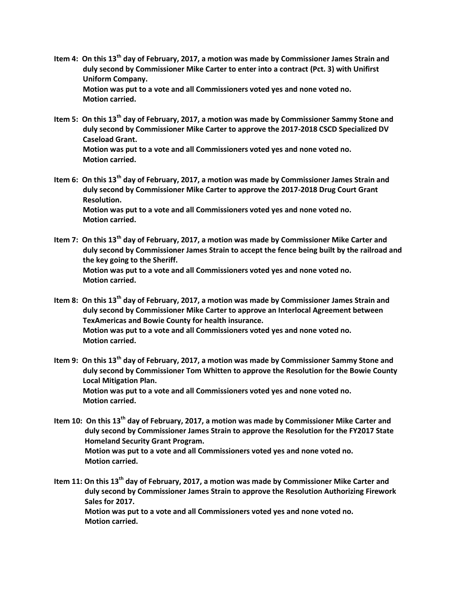- **Item 4: On this 13th day of February, 2017, a motion was made by Commissioner James Strain and duly second by Commissioner Mike Carter to enter into a contract (Pct. 3) with Unifirst Uniform Company. Motion was put to a vote and all Commissioners voted yes and none voted no. Motion carried.**
- **Item 5: On this 13th day of February, 2017, a motion was made by Commissioner Sammy Stone and duly second by Commissioner Mike Carter to approve the 2017-2018 CSCD Specialized DV Caseload Grant. Motion was put to a vote and all Commissioners voted yes and none voted no.**

**Motion carried.**

- **Item 6: On this 13th day of February, 2017, a motion was made by Commissioner James Strain and duly second by Commissioner Mike Carter to approve the 2017-2018 Drug Court Grant Resolution. Motion was put to a vote and all Commissioners voted yes and none voted no. Motion carried.**
- **Item 7: On this 13th day of February, 2017, a motion was made by Commissioner Mike Carter and duly second by Commissioner James Strain to accept the fence being built by the railroad and the key going to the Sheriff. Motion was put to a vote and all Commissioners voted yes and none voted no. Motion carried.**
- **Item 8: On this 13th day of February, 2017, a motion was made by Commissioner James Strain and duly second by Commissioner Mike Carter to approve an Interlocal Agreement between TexAmericas and Bowie County for health insurance. Motion was put to a vote and all Commissioners voted yes and none voted no. Motion carried.**
- **Item 9: On this 13th day of February, 2017, a motion was made by Commissioner Sammy Stone and duly second by Commissioner Tom Whitten to approve the Resolution for the Bowie County Local Mitigation Plan. Motion was put to a vote and all Commissioners voted yes and none voted no. Motion carried.**
- **Item 10: On this 13th day of February, 2017, a motion was made by Commissioner Mike Carter and duly second by Commissioner James Strain to approve the Resolution for the FY2017 State Homeland Security Grant Program. Motion was put to a vote and all Commissioners voted yes and none voted no. Motion carried.**
- **Item 11: On this 13th day of February, 2017, a motion was made by Commissioner Mike Carter and duly second by Commissioner James Strain to approve the Resolution Authorizing Firework Sales for 2017. Motion was put to a vote and all Commissioners voted yes and none voted no. Motion carried.**